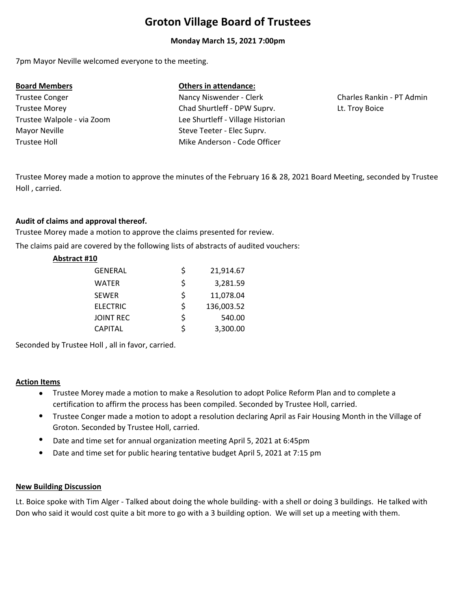# **Groton Village Board of Trustees**

#### **Monday March 15, 2021 7:00pm**

7pm Mayor Neville welcomed everyone to the meeting.

Trustee Holl Trustee Conger Nancy Niswender - Clerk Mayor Neville Steve Teeter - Elec Suprv.

# **Board Members Others in attendance:**

Trustee Morey Chad Shurtleff ‐ DPW Suprv. Trustee Walpole ‐ via Zoom Lee Shurtleff ‐ Village Historian Mike Anderson ‐ Code Officer

Charles Rankin ‐ PT Admin Lt. Troy Boice

Trustee Morey made a motion to approve the minutes of the February 16 & 28, 2021 Board Meeting, seconded by Trustee Holl , carried.

### **Audit of claims and approval thereof.**

Trustee Morey made a motion to approve the claims presented for review. The claims paid are covered by the following lists of abstracts of audited vouchers:

#### **Abstract #10**

| <b>GENERAL</b>   | \$ | 21,914.67  |
|------------------|----|------------|
| WATER            | Ś  | 3,281.59   |
| <b>SEWER</b>     | Ś  | 11,078.04  |
| <b>ELECTRIC</b>  | \$ | 136,003.52 |
| <b>JOINT REC</b> | Ś  | 540.00     |
| <b>CAPITAL</b>   | \$ | 3,300.00   |
|                  |    |            |

Seconded by Trustee Holl , all in favor, carried.

#### **Action Items**

- Trustee Morey made a motion to make a Resolution to adopt Police Reform Plan and to complete a certification to affirm the process has been compiled. Seconded by Trustee Holl, carried.
- Trustee Conger made a motion to adopt a resolution declaring April as Fair Housing Month in the Village of Groton. Seconded by Trustee Holl, carried.
- Date and time set for annual organization meeting April 5, 2021 at 6:45pm
- $\bullet$ Date and time set for public hearing tentative budget April 5, 2021 at 7:15 pm

#### **New Building Discussion**

Lt. Boice spoke with Tim Alger ‐ Talked about doing the whole building‐ with a shell or doing 3 buildings. He talked with Don who said it would cost quite a bit more to go with a 3 building option. We will set up a meeting with them.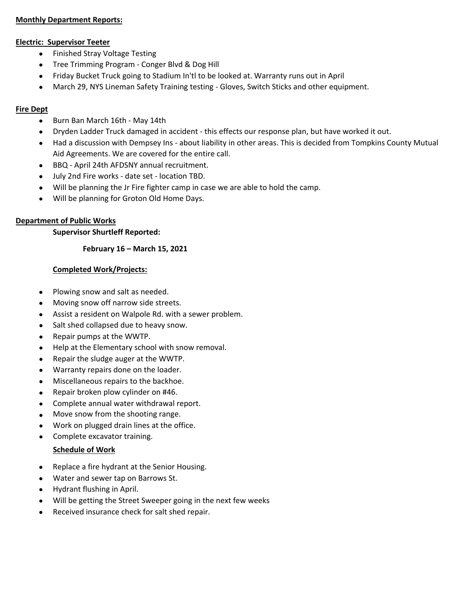#### **Monthly Department Reports:**

#### **Electric: Supervisor Teeter**

- **•** Finished Stray Voltage Testing
- Tree Trimming Program Conger Blvd & Dog Hill
- Friday Bucket Truck going to Stadium In'tl to be looked at. Warranty runs out in April
- March 29, NYS Lineman Safety Training testing ‐ Gloves, Switch Sticks and other equipment.

### **Fire Dept**

- Burn Ban March 16th May 14th
- Dryden Ladder Truck damaged in accident ‐ this effects our response plan, but have worked it out.
- Had a discussion with Dempsey Ins ‐ about liability in other areas. This is decided from Tompkins County Mutual Aid Agreements. We are covered for the entire call.
- BBQ ‐ April 24th AFDSNY annual recruitment.
- July 2nd Fire works ‐ date set ‐ location TBD.
- Will be planning the Jr Fire fighter camp in case we are able to hold the camp.
- Will be planning for Groton Old Home Days.

### **Department of Public Works**

#### **Supervisor Shurtleff Reported:**

#### **February 16 – March 15, 2021**

#### **Completed Work/Projects:**

- Plowing snow and salt as needed.
- Moving snow off narrow side streets.
- Assist a resident on Walpole Rd. with a sewer problem.
- Salt shed collapsed due to heavy snow.
- Repair pumps at the WWTP.
- Help at the Elementary school with snow removal.
- Repair the sludge auger at the WWTP.
- Warranty repairs done on the loader.
- Miscellaneous repairs to the backhoe.
- Repair broken plow cylinder on #46.
- Complete annual water withdrawal report.
- Move snow from the shooting range.
- Work on plugged drain lines at the office.
- Complete excavator training.

#### **Schedule of Work**

- Replace a fire hydrant at the Senior Housing.
- Water and sewer tap on Barrows St.
- Hydrant flushing in April.
- Will be getting the Street Sweeper going in the next few weeks
- Received insurance check for salt shed repair.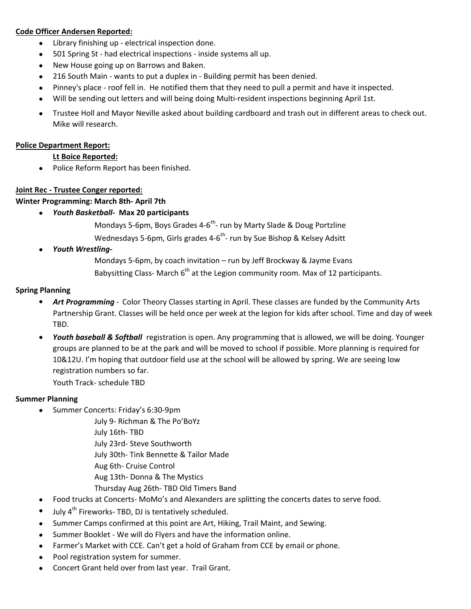### **Code Officer Andersen Reported:**

- $\bullet$ Library finishing up ‐ electrical inspection done.
- 501 Spring St had electrical inspections inside systems all up.
- New House going up on Barrows and Baken.
- 216 South Main wants to put a duplex in Building permit has been denied.
- Pinney's place roof fell in. He notified them that they need to pull a permit and have it inspected.
- Will be sending out letters and will being doing Multi‐resident inspections beginning April 1st.
- Trustee Holl and Mayor Neville asked about building cardboard and trash out in different areas to check out. Mike will research.

#### **Police Department Report:**

### **Lt Boice Reported:**

• Police Reform Report has been finished.

# **Joint Rec ‐ Trustee Conger reported:**

**Winter Programming: March 8th‐ April 7th**

- *Youth Basketball‐*  **Max 20 participants**
	- Mondays 5-6pm, Boys Grades 4-6<sup>th</sup>- run by Marty Slade & Doug Portzline
	- Wednesdays 5-6pm, Girls grades 4-6<sup>th</sup>- run by Sue Bishop & Kelsey Adsitt
- *Youth Wrestling‐*
	- Mondays 5‐6pm, by coach invitation run by Jeff Brockway & Jayme Evans
	- Babysitting Class-March  $6<sup>th</sup>$  at the Legion community room. Max of 12 participants.

# **Spring Planning**

- *Art Programming ‐*  Color Theory Classes starting in April. These classes are funded by the Community Arts Partnership Grant. Classes will be held once per week at the legion for kids after school. Time and day of week TBD.
- *Youth baseball & Softball* registration is open. Any programming that is allowed, we will be doing. Younger groups are planned to be at the park and will be moved to school if possible. More planning is required for 10&12U. I'm hoping that outdoor field use at the school will be allowed by spring. We are seeing low registration numbers so far.

Youth Track‐ schedule TBD

# **Summer Planning**

- Summer Concerts: Friday's 6:30-9pm
	- July 9‐ Richman & The Po'BoYz

July 16th‐ TBD

- July 23rd‐ Steve Southworth
- July 30th‐ Tink Bennette & Tailor Made
- Aug 6th‐ Cruise Control
- Aug 13th‐ Donna & The Mystics
- Thursday Aug 26th‐ TBD Old Timers Band
- Food trucks at Concerts-MoMo's and Alexanders are splitting the concerts dates to serve food.
- July 4<sup>th</sup> Fireworks- TBD, DJ is tentatively scheduled.
- Summer Camps confirmed at this point are Art, Hiking, Trail Maint, and Sewing.
- Summer Booklet ‐ We will do Flyers and have the information online.
- Farmer's Market with CCE. Can't get a hold of Graham from CCE by email or phone.
- Pool registration system for summer.
- Concert Grant held over from last year. Trail Grant.